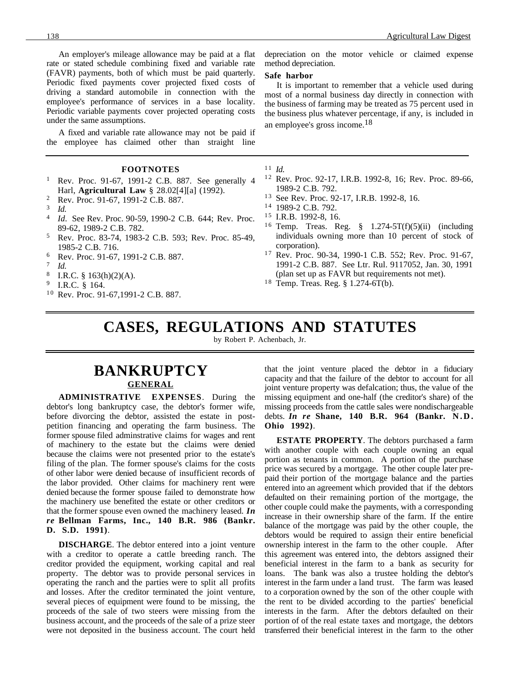An employer's mileage allowance may be paid at a flat rate or stated schedule combining fixed and variable rate (FAVR) payments, both of which must be paid quarterly. Periodic fixed payments cover projected fixed costs of driving a standard automobile in connection with the employee's performance of services in a base locality. Periodic variable payments cover projected operating costs under the same assumptions.

A fixed and variable rate allowance may not be paid if the employee has claimed other than straight line

#### **FOOTNOTES**

- <sup>1</sup> Rev. Proc. 91-67, 1991-2 C.B. 887. See generally 4 Harl, **Agricultural Law** § 28.02[4][a] (1992).
- <sup>2</sup> Rev. Proc. 91-67, 1991-2 C.B. 887.
- $\frac{3}{4}$  *Id.*
- *Id.* See Rev. Proc. 90-59, 1990-2 C.B. 644; Rev. Proc. 89-62, 1989-2 C.B. 782.
- <sup>5</sup> Rev. Proc. 83-74, 1983-2 C.B. 593; Rev. Proc. 85-49, 1985-2 C.B. 716.
- $^{6}$  Rev. Proc. 91-67, 1991-2 C.B. 887.
- $\frac{7}{8}$  *Id.*
- $_{9}^{8}$  I.R.C. § 163(h)(2)(A).
- <sup>9</sup> I.R.C. § 164.
- <sup>10</sup> Rev. Proc. 91-67,1991-2 C.B. 887.

depreciation on the motor vehicle or claimed expense method depreciation.

#### **Safe harbor**

It is important to remember that a vehicle used during most of a normal business day directly in connection with the business of farming may be treated as 75 percent used in the business plus whatever percentage, if any, is included in an employee's gross income.18

- $11$  *Id.*
- <sup>12</sup> Rev. Proc. 92-17, I.R.B. 1992-8, 16; Rev. Proc. 89-66, 1989-2 C.B. 792.
- <sup>13</sup> See Rev. Proc. 92-17, I.R.B. 1992-8, 16.
- <sup>14</sup> 1989-2 C.B. 792.
- $15$  I.R.B. 1992-8, 16.
- <sup>16</sup> Temp. Treas. Reg.  $\S$  1.274-5T(f)(5)(ii) (including individuals owning more than 10 percent of stock of corporation).
- <sup>17</sup> Rev. Proc. 90-34, 1990-1 C.B. 552; Rev. Proc. 91-67, 1991-2 C.B. 887. See Ltr. Rul. 9117052, Jan. 30, 1991 (plan set up as FAVR but requirements not met).
- <sup>18</sup> Temp. Treas. Reg. § 1.274-6T(b).

# **CASES, REGULATIONS AND STATUTES**

by Robert P. Achenbach, Jr.

# **BANKRUPTCY GENERAL**

**ADMINISTRATIVE EXPENSES**. During the debtor's long bankruptcy case, the debtor's former wife, before divorcing the debtor, assisted the estate in postpetition financing and operating the farm business. The former spouse filed adminstrative claims for wages and rent of machinery to the estate but the claims were denied because the claims were not presented prior to the estate's filing of the plan. The former spouse's claims for the costs of other labor were denied because of insufficient records of the labor provided. Other claims for machinery rent were denied because the former spouse failed to demonstrate how the machinery use benefited the estate or other creditors or that the former spouse even owned the machinery leased. *In re* **Bellman Farms, Inc., 140 B.R. 986 (Bankr. D. S.D. 1991)**.

**DISCHARGE**. The debtor entered into a joint venture with a creditor to operate a cattle breeding ranch. The creditor provided the equipment, working capital and real property. The debtor was to provide personal services in operating the ranch and the parties were to split all profits and losses. After the creditor terminated the joint venture, several pieces of equipment were found to be missing, the proceeds of the sale of two steers were missing from the business account, and the proceeds of the sale of a prize steer were not deposited in the business account. The court held that the joint venture placed the debtor in a fiduciary capacity and that the failure of the debtor to account for all joint venture property was defalcation; thus, the value of the missing equipment and one-half (the creditor's share) of the missing proceeds from the cattle sales were nondischargeable debts. *In re* **Shane, 140 B.R. 964 (Bankr. N.D. Ohio 1992)**.

**ESTATE PROPERTY**. The debtors purchased a farm with another couple with each couple owning an equal portion as tenants in common. A portion of the purchase price was secured by a mortgage. The other couple later prepaid their portion of the mortgage balance and the parties entered into an agreement which provided that if the debtors defaulted on their remaining portion of the mortgage, the other couple could make the payments, with a corresponding increase in their ownership share of the farm. If the entire balance of the mortgage was paid by the other couple, the debtors would be required to assign their entire beneficial ownership interest in the farm to the other couple. After this agreement was entered into, the debtors assigned their beneficial interest in the farm to a bank as security for loans. The bank was also a trustee holding the debtor's interest in the farm under a land trust. The farm was leased to a corporation owned by the son of the other couple with the rent to be divided according to the parties' beneficial interests in the farm. After the debtors defaulted on their portion of of the real estate taxes and mortgage, the debtors transferred their beneficial interest in the farm to the other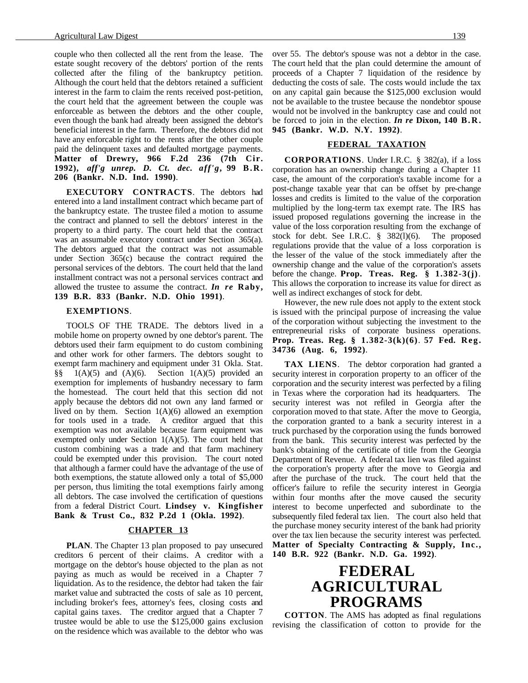couple who then collected all the rent from the lease. The estate sought recovery of the debtors' portion of the rents collected after the filing of the bankruptcy petition. Although the court held that the debtors retained a sufficient interest in the farm to claim the rents received post-petition, the court held that the agreement between the couple was enforceable as between the debtors and the other couple, even though the bank had already been assigned the debtor's beneficial interest in the farm. Therefore, the debtors did not have any enforcable right to the rents after the other couple paid the delinquent taxes and defaulted mortgage payments. **Matter of Drewry, 966 F.2d 236 (7th Cir. 1992),** *aff'g unrep. D. Ct. dec. aff'g***, 99 B . R . 206 (Bankr. N.D. Ind. 1990)**.

**EXECUTORY CONTRACTS**. The debtors had entered into a land installment contract which became part of the bankruptcy estate. The trustee filed a motion to assume the contract and planned to sell the debtors' interest in the property to a third party. The court held that the contract was an assumable executory contract under Section 365(a). The debtors argued that the contract was not assumable under Section 365(c) because the contract required the personal services of the debtors. The court held that the land installment contract was not a personal services contract and allowed the trustee to assume the contract. *In re* **Raby, 139 B.R. 833 (Bankr. N.D. Ohio 1991)**.

#### **EXEMPTIONS**.

TOOLS OF THE TRADE. The debtors lived in a mobile home on property owned by one debtor's parent. The debtors used their farm equipment to do custom combining and other work for other farmers. The debtors sought to exempt farm machinery and equipment under 31 Okla. Stat. §§  $1(A)(5)$  and  $(A)(6)$ . Section  $1(A)(5)$  provided an exemption for implements of husbandry necessary to farm the homestead. The court held that this section did not apply because the debtors did not own any land farmed or lived on by them. Section  $1(A)(6)$  allowed an exemption for tools used in a trade. A creditor argued that this exemption was not available because farm equipment was exempted only under Section  $1(A)(5)$ . The court held that custom combining was a trade and that farm machinery could be exempted under this provision. The court noted that although a farmer could have the advantage of the use of both exemptions, the statute allowed only a total of \$5,000 per person, thus limiting the total exemptions fairly among all debtors. The case involved the certification of questions from a federal District Court. **Lindsey v. Kingfisher Bank & Trust Co., 832 P.2d 1 (Okla. 1992)**.

#### **CHAPTER 13**

**PLAN**. The Chapter 13 plan proposed to pay unsecured creditors 6 percent of their claims. A creditor with a mortgage on the debtor's house objected to the plan as not paying as much as would be received in a Chapter 7 liquidation. As to the residence, the debtor had taken the fair market value and subtracted the costs of sale as 10 percent, including broker's fees, attorney's fees, closing costs and capital gains taxes. The creditor argued that a Chapter 7 trustee would be able to use the \$125,000 gains exclusion on the residence which was available to the debtor who was

over 55. The debtor's spouse was not a debtor in the case. The court held that the plan could determine the amount of proceeds of a Chapter 7 liquidation of the residence by deducting the costs of sale. The costs would include the tax on any capital gain because the \$125,000 exclusion would not be available to the trustee because the nondebtor spouse would not be involved in the bankruptcy case and could not be forced to join in the election. *In re* **Dixon, 140 B.R. 945 (Bankr. W.D. N.Y. 1992)**.

#### **FEDERAL TAXATION**

**CORPORATIONS**. Under I.R.C. § 382(a), if a loss corporation has an ownership change during a Chapter 11 case, the amount of the corporation's taxable income for a post-change taxable year that can be offset by pre-change losses and credits is limited to the value of the corporation multiplied by the long-term tax exempt rate. The IRS has issued proposed regulations governing the increase in the value of the loss corporation resulting from the exchange of stock for debt. See I.R.C. § 382(l)(6). The proposed regulations provide that the value of a loss corporation is the lesser of the value of the stock immediately after the ownership change and the value of the corporation's assets before the change. **Prop. Treas. Reg. § 1.382-3(j)**. This allows the corporation to increase its value for direct as well as indirect exchanges of stock for debt.

However, the new rule does not apply to the extent stock is issued with the principal purpose of increasing the value of the corporation without subjecting the investment to the entrepreneurial risks of corporate business operations. **Prop. Treas. Reg. § 1.382-3(k)(6)**. **57 Fed. Reg. 34736 (Aug. 6, 1992)**.

**TAX LIENS**. The debtor corporation had granted a security interest in corporation property to an officer of the corporation and the security interest was perfected by a filing in Texas where the corporation had its headquarters. The security interest was not refiled in Georgia after the corporation moved to that state. After the move to Georgia, the corporation granted to a bank a security interest in a truck purchased by the corporation using the funds borrowed from the bank. This security interest was perfected by the bank's obtaining of the certificate of title from the Georgia Department of Revenue. A federal tax lien was filed against the corporation's property after the move to Georgia and after the purchase of the truck. The court held that the officer's failure to refile the security interest in Georgia within four months after the move caused the security interest to become unperfected and subordinate to the subsequently filed federal tax lien. The court also held that the purchase money security interest of the bank had priority over the tax lien because the security interest was perfected. **Matter of Specialty Contracting & Supply, Inc., 140 B.R. 922 (Bankr. N.D. Ga. 1992)**.

### **FEDERAL AGRICULTURAL PROGRAMS**

**COTTON**. The AMS has adopted as final regulations revising the classification of cotton to provide for the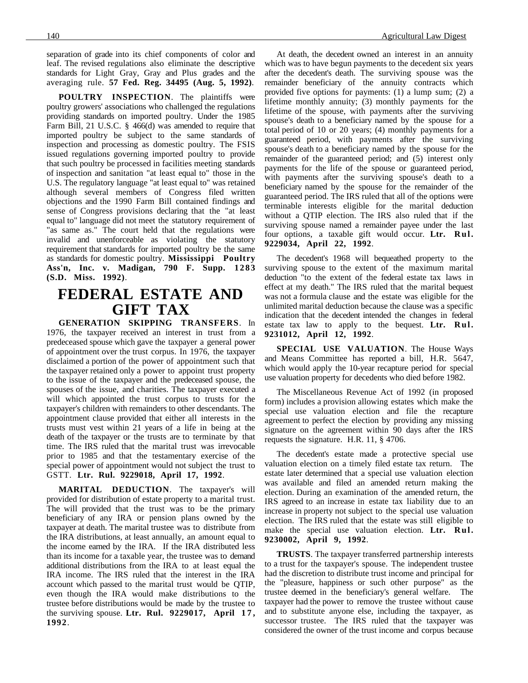separation of grade into its chief components of color and leaf. The revised regulations also eliminate the descriptive standards for Light Gray, Gray and Plus grades and the averaging rule. **57 Fed. Reg. 34495 (Aug. 5, 1992)**.

**POULTRY INSPECTION**. The plaintiffs were poultry growers' associations who challenged the regulations providing standards on imported poultry. Under the 1985 Farm Bill, 21 U.S.C. § 466(d) was amended to require that imported poultry be subject to the same standards of inspection and processing as domestic poultry. The FSIS issued regulations governing imported poultry to provide that such poultry be processed in facilities meeting standards of inspection and sanitation "at least equal to" those in the U.S. The regulatory language "at least equal to" was retained although several members of Congress filed written objections and the 1990 Farm Bill contained findings and sense of Congress provisions declaring that the "at least equal to" language did not meet the statutory requirement of "as same as." The court held that the regulations were invalid and unenforceable as violating the statutory requirement that standards for imported poultry be the same as standards for domestic poultry. **Mississippi Poultry Ass'n, Inc. v. Madigan, 790 F. Supp. 1283 (S.D. Miss. 1992)**.

### **FEDERAL ESTATE AND GIFT TAX**

**GENERATION SKIPPING TRANSFERS**. In

1976, the taxpayer received an interest in trust from a predeceased spouse which gave the taxpayer a general power of appointment over the trust corpus. In 1976, the taxpayer disclaimed a portion of the power of appointment such that the taxpayer retained only a power to appoint trust property to the issue of the taxpayer and the predeceased spouse, the spouses of the issue, and charities. The taxpayer executed a will which appointed the trust corpus to trusts for the taxpayer's children with remainders to other descendants. The appointment clause provided that either all interests in the trusts must vest within 21 years of a life in being at the death of the taxpayer or the trusts are to terminate by that time. The IRS ruled that the marital trust was irrevocable prior to 1985 and that the testamentary exercise of the special power of appointment would not subject the trust to GSTT. **Ltr. Rul. 9229018, April 17, 1992**.

**MARITAL DEDUCTION**. The taxpayer's will provided for distribution of estate property to a marital trust. The will provided that the trust was to be the primary beneficiary of any IRA or pension plans owned by the taxpayer at death. The marital trustee was to distribute from the IRA distributions, at least annually, an amount equal to the income earned by the IRA. If the IRA distributed less than its income for a taxable year, the trustee was to demand additional distributions from the IRA to at least equal the IRA income. The IRS ruled that the interest in the IRA account which passed to the marital trust would be QTIP, even though the IRA would make distributions to the trustee before distributions would be made by the trustee to the surviving spouse. Ltr. Rul. 9229017, April 17, **1992**.

At death, the decedent owned an interest in an annuity which was to have begun payments to the decedent six years after the decedent's death. The surviving spouse was the remainder beneficiary of the annuity contracts which provided five options for payments: (1) a lump sum; (2) a lifetime monthly annuity; (3) monthly payments for the lifetime of the spouse, with payments after the surviving spouse's death to a beneficiary named by the spouse for a total period of 10 or 20 years; (4) monthly payments for a guaranteed period, with payments after the surviving spouse's death to a beneficiary named by the spouse for the remainder of the guaranteed period; and (5) interest only payments for the life of the spouse or guaranteed period, with payments after the surviving spouse's death to a beneficiary named by the spouse for the remainder of the guaranteed period. The IRS ruled that all of the options were terminable interests eligible for the marital deduction without a QTIP election. The IRS also ruled that if the surviving spouse named a remainder payee under the last four options, a taxable gift would occur. **Ltr. Rul. 9229034, April 22, 1992**.

The decedent's 1968 will bequeathed property to the surviving spouse to the extent of the maximum marital deduction "to the extent of the federal estate tax laws in effect at my death." The IRS ruled that the marital bequest was not a formula clause and the estate was eligible for the unlimited marital deduction because the clause was a specific indication that the decedent intended the changes in federal estate tax law to apply to the bequest. **Ltr. Rul. 9231012, April 12, 1992**.

**SPECIAL USE VALUATION**. The House Ways and Means Committee has reported a bill, H.R. 5647, which would apply the 10-year recapture period for special use valuation property for decedents who died before 1982.

The Miscellaneous Revenue Act of 1992 (in proposed form) includes a provision allowing estates which make the special use valuation election and file the recapture agreement to perfect the election by providing any missing signature on the agreement within 90 days after the IRS requests the signature. H.R. 11, § 4706.

The decedent's estate made a protective special use valuation election on a timely filed estate tax return. The estate later determined that a special use valuation election was available and filed an amended return making the election. During an examination of the amended return, the IRS agreed to an increase in estate tax liability due to an increase in property not subject to the special use valuation election. The IRS ruled that the estate was still eligible to make the special use valuation election. **Ltr. Rul. 9230002, April 9, 1992**.

**TRUSTS**. The taxpayer transferred partnership interests to a trust for the taxpayer's spouse. The independent trustee had the discretion to distribute trust income and principal for the "pleasure, happiness or such other purpose" as the trustee deemed in the beneficiary's general welfare. The taxpayer had the power to remove the trustee without cause and to substitute anyone else, including the taxpayer, as successor trustee. The IRS ruled that the taxpayer was considered the owner of the trust income and corpus because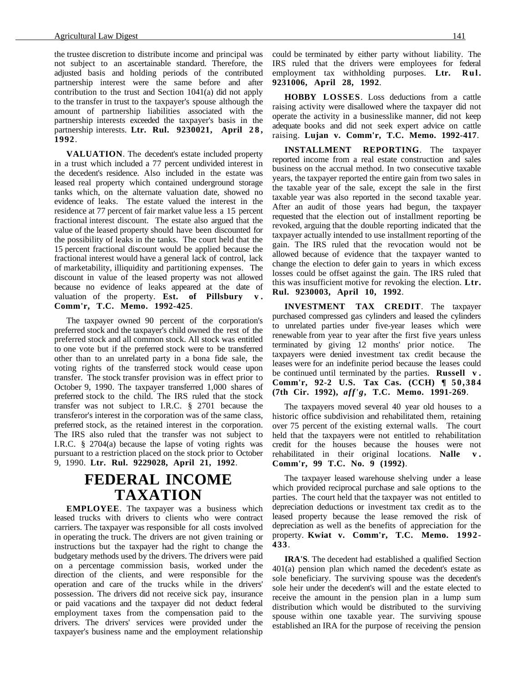the trustee discretion to distribute income and principal was not subject to an ascertainable standard. Therefore, the adjusted basis and holding periods of the contributed partnership interest were the same before and after contribution to the trust and Section 1041(a) did not apply to the transfer in trust to the taxpayer's spouse although the amount of partnership liabilities associated with the partnership interests exceeded the taxpayer's basis in the partnership interests. Ltr. Rul. 9230021, April 28, **1992**.

**VALUATION**. The decedent's estate included property in a trust which included a 77 percent undivided interest in the decedent's residence. Also included in the estate was leased real property which contained underground storage tanks which, on the alternate valuation date, showed no evidence of leaks. The estate valued the interest in the residence at 77 percent of fair market value less a 15 percent fractional interest discount. The estate also argued that the value of the leased property should have been discounted for the possibility of leaks in the tanks. The court held that the 15 percent fractional discount would be applied because the fractional interest would have a general lack of control, lack of marketability, illiquidity and partitioning expenses. The discount in value of the leased property was not allowed because no evidence of leaks appeared at the date of valuation of the property. **Est. of Pillsbury v . Comm'r, T.C. Memo. 1992-425**.

The taxpayer owned 90 percent of the corporation's preferred stock and the taxpayer's child owned the rest of the preferred stock and all common stock. All stock was entitled to one vote but if the preferred stock were to be transferred other than to an unrelated party in a bona fide sale, the voting rights of the transferred stock would cease upon transfer. The stock transfer provision was in effect prior to October 9, 1990. The taxpayer transferred 1,000 shares of preferred stock to the child. The IRS ruled that the stock transfer was not subject to I.R.C. § 2701 because the transferor's interest in the corporation was of the same class, preferred stock, as the retained interest in the corporation. The IRS also ruled that the transfer was not subject to I.R.C. § 2704(a) because the lapse of voting rights was pursuant to a restriction placed on the stock prior to October 9, 1990. **Ltr. Rul. 9229028, April 21, 1992**.

## **FEDERAL INCOME TAXATION**

**EMPLOYEE**. The taxpayer was a business which leased trucks with drivers to clients who were contract carriers. The taxpayer was responsible for all costs involved in operating the truck. The drivers are not given training or instructions but the taxpayer had the right to change the budgetary methods used by the drivers. The drivers were paid on a percentage commission basis, worked under the direction of the clients, and were responsible for the operation and care of the trucks while in the drivers' possession. The drivers did not receive sick pay, insurance or paid vacations and the taxpayer did not deduct federal employment taxes from the compensation paid to the drivers. The drivers' services were provided under the taxpayer's business name and the employment relationship

could be terminated by either party without liability. The IRS ruled that the drivers were employees for federal employment tax withholding purposes. **Ltr. Rul. 9231006, April 28, 1992**.

**HOBBY LOSSES**. Loss deductions from a cattle raising activity were disallowed where the taxpayer did not operate the activity in a businesslike manner, did not keep adequate books and did not seek expert advice on cattle raising. **Lujan v. Comm'r, T.C. Memo. 1992-417**.

**INSTALLMENT REPORTING**. The taxpayer reported income from a real estate construction and sales business on the accrual method. In two consecutive taxable years, the taxpayer reported the entire gain from two sales in the taxable year of the sale, except the sale in the first taxable year was also reported in the second taxable year. After an audit of those years had begun, the taxpayer requested that the election out of installment reporting be revoked, arguing that the double reporting indicated that the taxpayer actually intended to use installment reporting of the gain. The IRS ruled that the revocation would not be allowed because of evidence that the taxpayer wanted to change the election to defer gain to years in which excess losses could be offset against the gain. The IRS ruled that this was insufficient motive for revoking the election. **Ltr. Rul. 9230003, April 10, 1992**.

**INVESTMENT TAX CREDIT**. The taxpayer purchased compressed gas cylinders and leased the cylinders to unrelated parties under five-year leases which were renewable from year to year after the first five years unless terminated by giving 12 months' prior notice. The taxpayers were denied investment tax credit because the leases were for an indefinite period because the leases could be continued until terminated by the parties. **Russell v . Comm'r, 92-2 U.S. Tax Cas. (CCH) ¶ 50,384 (7th Cir. 1992),** *aff'g***, T.C. Memo. 1991-269**.

The taxpayers moved several 40 year old houses to a historic office subdivision and rehabilitated them, retaining over 75 percent of the existing external walls. The court held that the taxpayers were not entitled to rehabilitation credit for the houses because the houses were not rehabilitated in their original locations. **Nalle v . Comm'r, 99 T.C. No. 9 (1992)**.

The taxpayer leased warehouse shelving under a lease which provided reciprocal purchase and sale options to the parties. The court held that the taxpayer was not entitled to depreciation deductions or investment tax credit as to the leased property because the lease removed the risk of depreciation as well as the benefits of appreciation for the property. **Kwiat v. Comm'r, T.C. Memo. 1992- 433**.

**IRA'S**. The decedent had established a qualified Section 401(a) pension plan which named the decedent's estate as sole beneficiary. The surviving spouse was the decedent's sole heir under the decedent's will and the estate elected to receive the amount in the pension plan in a lump sum distribution which would be distributed to the surviving spouse within one taxable year. The surviving spouse established an IRA for the purpose of receiving the pension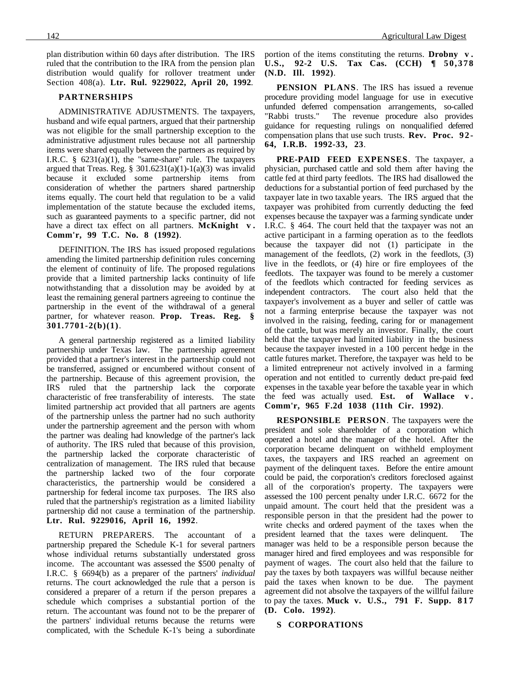plan distribution within 60 days after distribution. The IRS ruled that the contribution to the IRA from the pension plan distribution would qualify for rollover treatment under Section 408(a). **Ltr. Rul. 9229022, April 20, 1992**.

#### **PARTNERSHIPS**

ADMINISTRATIVE ADJUSTMENTS. The taxpayers, husband and wife equal partners, argued that their partnership was not eligible for the small partnership exception to the administrative adjustment rules because not all partnership items were shared equally between the partners as required by I.R.C.  $\S$  6231(a)(1), the "same-share" rule. The taxpayers argued that Treas. Reg. § 301.6231(a)(1)-1(a)(3) was invalid because it excluded some partnership items from consideration of whether the partners shared partnership items equally. The court held that regulation to be a valid implementation of the statute because the excluded items, such as guaranteed payments to a specific partner, did not have a direct tax effect on all partners. **McKnight** v. **Comm'r, 99 T.C. No. 8 (1992)**.

DEFINITION. The IRS has issued proposed regulations amending the limited partnership definition rules concerning the element of continuity of life. The proposed regulations provide that a limited partnership lacks continuity of life notwithstanding that a dissolution may be avoided by at least the remaining general partners agreeing to continue the partnership in the event of the withdrawal of a general partner, for whatever reason. **Prop. Treas. Reg. § 301.7701-2(b)(1)**.

A general partnership registered as a limited liability partnership under Texas law. The partnership agreement provided that a partner's interest in the partnership could not be transferred, assigned or encumbered without consent of the partnership. Because of this agreement provision, the IRS ruled that the partnership lack the corporate characteristic of free transferability of interests. The state limited partnership act provided that all partners are agents of the partnership unless the partner had no such authority under the partnership agreement and the person with whom the partner was dealing had knowledge of the partner's lack of authority. The IRS ruled that because of this provision, the partnership lacked the corporate characteristic of centralization of management. The IRS ruled that because the partnership lacked two of the four corporate characteristics, the partnership would be considered a partnership for federal income tax purposes. The IRS also ruled that the partnership's registration as a limited liability partnership did not cause a termination of the partnership. **Ltr. Rul. 9229016, April 16, 1992**.

RETURN PREPARERS. The accountant of a partnership prepared the Schedule K-1 for several partners whose individual returns substantially understated gross income. The accountant was assessed the \$500 penalty of I.R.C. § 6694(b) as a preparer of the partners' *individual* returns. The court acknowledged the rule that a person is considered a preparer of a return if the person prepares a schedule which comprises a substantial portion of the return. The accountant was found not to be the preparer of the partners' individual returns because the returns were complicated, with the Schedule K-1's being a subordinate portion of the items constituting the returns. **Drobny v . U.S., 92-2 U.S. Tax Cas. (CCH) ¶ 50,378 (N.D. Ill. 1992)**.

**PENSION PLANS**. The IRS has issued a revenue procedure providing model language for use in executive unfunded deferred compensation arrangements, so-called "Rabbi trusts." The revenue procedure also provides guidance for requesting rulings on nonqualified deferred compensation plans that use such trusts. **Rev. Proc. 9 2 - 64, I.R.B. 1992-33, 23**.

**PRE-PAID FEED EXPENSES**. The taxpayer, a physician, purchased cattle and sold them after having the cattle fed at third party feedlots. The IRS had disallowed the deductions for a substantial portion of feed purchased by the taxpayer late in two taxable years. The IRS argued that the taxpayer was prohibited from currently deducting the feed expenses because the taxpayer was a farming syndicate under I.R.C. § 464. The court held that the taxpayer was not an active participant in a farming operation as to the feedlots because the taxpayer did not (1) participate in the management of the feedlots, (2) work in the feedlots, (3) live in the feedlots, or (4) hire or fire employees of the feedlots. The taxpayer was found to be merely a customer of the feedlots which contracted for feeding services as independent contractors. The court also held that the taxpayer's involvement as a buyer and seller of cattle was not a farming enterprise because the taxpayer was not involved in the raising, feeding, caring for or management of the cattle, but was merely an investor. Finally, the court held that the taxpayer had limited liability in the business because the taxpayer invested in a 100 percent hedge in the cattle futures market. Therefore, the taxpayer was held to be a limited entrepreneur not actively involved in a farming operation and not entitled to currently deduct pre-paid feed expenses in the taxable year before the taxable year in which the feed was actually used. **Est. of Wallace v . Comm'r, 965 F.2d 1038 (11th Cir. 1992)**.

**RESPONSIBLE PERSON**. The taxpayers were the president and sole shareholder of a corporation which operated a hotel and the manager of the hotel. After the corporation became delinquent on withheld employment taxes, the taxpayers and IRS reached an agreement on payment of the delinquent taxes. Before the entire amount could be paid, the corporation's creditors foreclosed against all of the corporation's property. The taxpayers were assessed the 100 percent penalty under I.R.C. 6672 for the unpaid amount. The court held that the president was a responsible person in that the president had the power to write checks and ordered payment of the taxes when the president learned that the taxes were delinquent. The manager was held to be a responsible person because the manager hired and fired employees and was responsible for payment of wages. The court also held that the failure to pay the taxes by both taxpayers was willful because neither paid the taxes when known to be due. The payment agreement did not absolve the taxpayers of the willful failure to pay the taxes. **Muck v. U.S., 791 F. Supp. 8 1 7 (D. Colo. 1992)**.

#### **S CORPORATIONS**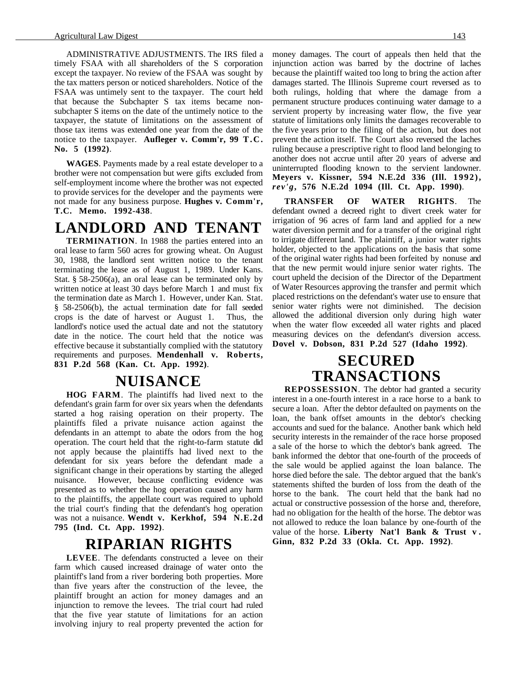ADMINISTRATIVE ADJUSTMENTS. The IRS filed a timely FSAA with all shareholders of the S corporation except the taxpayer. No review of the FSAA was sought by the tax matters person or noticed shareholders. Notice of the FSAA was untimely sent to the taxpayer. The court held that because the Subchapter S tax items became nonsubchapter S items on the date of the untimely notice to the taxpayer, the statute of limitations on the assessment of those tax items was extended one year from the date of the notice to the taxpayer. **Aufleger v. Comm'r, 99 T.C. No. 5 (1992)**.

**WAGES**. Payments made by a real estate developer to a brother were not compensation but were gifts excluded from self-employment income where the brother was not expected to provide services for the developer and the payments were not made for any business purpose. **Hughes v. Comm'r, T.C. Memo. 1992-438**.

# **LANDLORD AND TENANT**

**TERMINATION**. In 1988 the parties entered into an oral lease to farm 560 acres for growing wheat. On August 30, 1988, the landlord sent written notice to the tenant terminating the lease as of August 1, 1989. Under Kans. Stat.  $§$  58-2506(a), an oral lease can be terminated only by written notice at least 30 days before March 1 and must fix the termination date as March 1. However, under Kan. Stat. § 58-2506(b), the actual termination date for fall seeded crops is the date of harvest or August 1. Thus, the landlord's notice used the actual date and not the statutory date in the notice. The court held that the notice was effective because it substantially complied with the statutory requirements and purposes. **Mendenhall v. Roberts, 831 P.2d 568 (Kan. Ct. App. 1992)**.

### **NUISANCE**

**HOG FARM**. The plaintiffs had lived next to the defendant's grain farm for over six years when the defendants started a hog raising operation on their property. The plaintiffs filed a private nuisance action against the defendants in an attempt to abate the odors from the hog operation. The court held that the right-to-farm statute did not apply because the plaintiffs had lived next to the defendant for six years before the defendant made a significant change in their operations by starting the alleged nuisance. However, because conflicting evidence was presented as to whether the hog operation caused any harm to the plaintiffs, the appellate court was required to uphold the trial court's finding that the defendant's hog operation was not a nuisance. **Wendt v. Kerkhof, 594 N.E.2d 795 (Ind. Ct. App. 1992)**.

### **RIPARIAN RIGHTS**

**LEVEE**. The defendants constructed a levee on their farm which caused increased drainage of water onto the plaintiff's land from a river bordering both properties. More than five years after the construction of the levee, the plaintiff brought an action for money damages and an injunction to remove the levees. The trial court had ruled that the five year statute of limitations for an action involving injury to real property prevented the action for money damages. The court of appeals then held that the injunction action was barred by the doctrine of laches because the plaintiff waited too long to bring the action after damages started. The Illinois Supreme court reversed as to both rulings, holding that where the damage from a permanent structure produces continuing water damage to a servient property by increasing water flow, the five year statute of limitations only limits the damages recoverable to the five years prior to the filing of the action, but does not prevent the action itself. The Court also reversed the laches ruling because a prescriptive right to flood land belonging to another does not accrue until after 20 years of adverse and uninterrupted flooding known to the servient landowner. **Meyers v. Kissner, 594 N.E.2d 336 (Ill. 1992),** *rev'g***, 576 N.E.2d 1094 (Ill. Ct. App. 1990)**.

**TRANSFER OF WATER RIGHTS**. The defendant owned a decreed right to divert creek water for irrigation of 96 acres of farm land and applied for a new water diversion permit and for a transfer of the original right to irrigate different land. The plaintiff, a junior water rights holder, objected to the applications on the basis that some of the original water rights had been forfeited by nonuse and that the new permit would injure senior water rights. The court upheld the decision of the Director of the Department of Water Resources approving the transfer and permit which placed restrictions on the defendant's water use to ensure that senior water rights were not diminished. The decision allowed the additional diversion only during high water when the water flow exceeded all water rights and placed measuring devices on the defendant's diversion access. **Dovel v. Dobson, 831 P.2d 527 (Idaho 1992)**.

### **SECURED TRANSACTIONS**

**REPOSSESSION**. The debtor had granted a security interest in a one-fourth interest in a race horse to a bank to secure a loan. After the debtor defaulted on payments on the loan, the bank offset amounts in the debtor's checking accounts and sued for the balance. Another bank which held security interests in the remainder of the race horse proposed a sale of the horse to which the debtor's bank agreed. The bank informed the debtor that one-fourth of the proceeds of the sale would be applied against the loan balance. The horse died before the sale. The debtor argued that the bank's statements shifted the burden of loss from the death of the horse to the bank. The court held that the bank had no actual or constructive possession of the horse and, therefore, had no obligation for the health of the horse. The debtor was not allowed to reduce the loan balance by one-fourth of the value of the horse. **Liberty Nat'l Bank & Trust v . Ginn, 832 P.2d 33 (Okla. Ct. App. 1992)**.